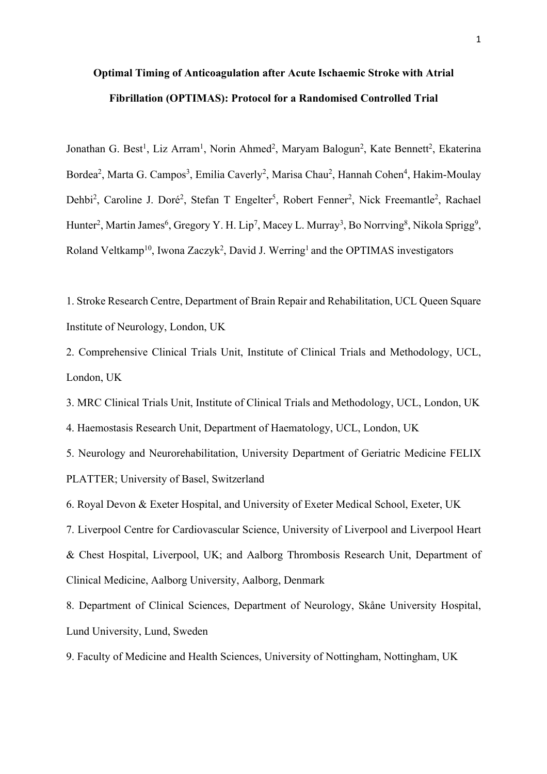# **Optimal Timing of Anticoagulation after Acute Ischaemic Stroke with Atrial Fibrillation (OPTIMAS): Protocol for a Randomised Controlled Trial**

Jonathan G. Best<sup>1</sup>, Liz Arram<sup>1</sup>, Norin Ahmed<sup>2</sup>, Maryam Balogun<sup>2</sup>, Kate Bennett<sup>2</sup>, Ekaterina Bordea<sup>2</sup>, Marta G. Campos<sup>3</sup>, Emilia Caverly<sup>2</sup>, Marisa Chau<sup>2</sup>, Hannah Cohen<sup>4</sup>, Hakim-Moulay Dehbi<sup>2</sup>, Caroline J. Doré<sup>2</sup>, Stefan T Engelter<sup>5</sup>, Robert Fenner<sup>2</sup>, Nick Freemantle<sup>2</sup>, Rachael Hunter<sup>2</sup>, Martin James<sup>6</sup>, Gregory Y. H. Lip<sup>7</sup>, Macey L. Murray<sup>3</sup>, Bo Norrving<sup>8</sup>, Nikola Sprigg<sup>9</sup>, Roland Veltkamp<sup>10</sup>, Iwona Zaczyk<sup>2</sup>, David J. Werring<sup>1</sup> and the OPTIMAS investigators

1. Stroke Research Centre, Department of Brain Repair and Rehabilitation, UCL Queen Square Institute of Neurology, London, UK

2. Comprehensive Clinical Trials Unit, Institute of Clinical Trials and Methodology, UCL, London, UK

3. MRC Clinical Trials Unit, Institute of Clinical Trials and Methodology, UCL, London, UK

4. Haemostasis Research Unit, Department of Haematology, UCL, London, UK

5. Neurology and Neurorehabilitation, University Department of Geriatric Medicine FELIX PLATTER; University of Basel, Switzerland

6. Royal Devon & Exeter Hospital, and University of Exeter Medical School, Exeter, UK

7. Liverpool Centre for Cardiovascular Science, University of Liverpool and Liverpool Heart & Chest Hospital, Liverpool, UK; and Aalborg Thrombosis Research Unit, Department of Clinical Medicine, Aalborg University, Aalborg, Denmark

8. Department of Clinical Sciences, Department of Neurology, Skåne University Hospital, Lund University, Lund, Sweden

9. Faculty of Medicine and Health Sciences, University of Nottingham, Nottingham, UK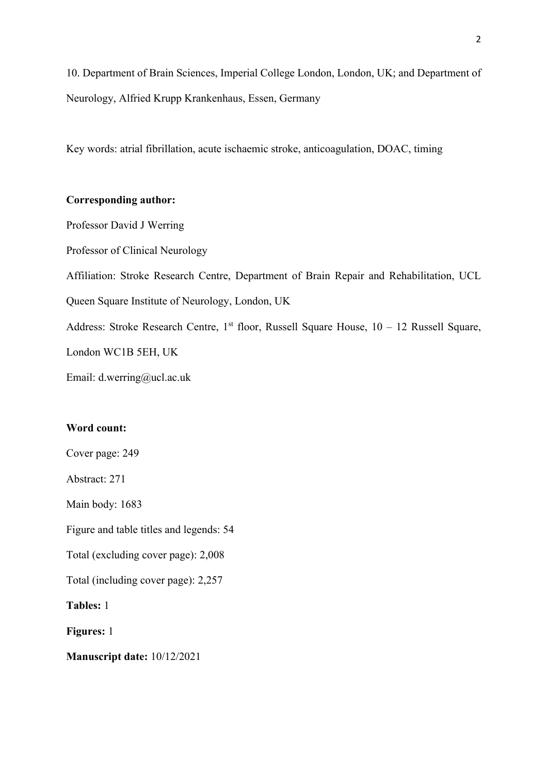10. Department of Brain Sciences, Imperial College London, London, UK; and Department of Neurology, Alfried Krupp Krankenhaus, Essen, Germany

Key words: atrial fibrillation, acute ischaemic stroke, anticoagulation, DOAC, timing

# **Corresponding author:**

Professor David J Werring

Professor of Clinical Neurology

Affiliation: Stroke Research Centre, Department of Brain Repair and Rehabilitation, UCL

Queen Square Institute of Neurology, London, UK

Address: Stroke Research Centre, 1<sup>st</sup> floor, Russell Square House,  $10 - 12$  Russell Square,

London WC1B 5EH, UK

Email: d.werring@ucl.ac.uk

# **Word count:**

Cover page: 249

Abstract: 271

Main body: 1683

Figure and table titles and legends: 54

Total (excluding cover page): 2,008

Total (including cover page): 2,257

**Tables:** 1

**Figures:** 1

**Manuscript date:** 10/12/2021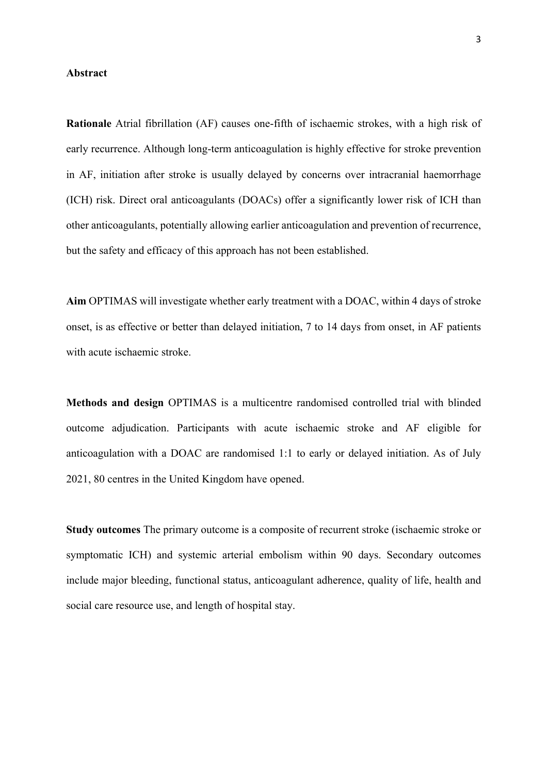## **Abstract**

**Rationale** Atrial fibrillation (AF) causes one-fifth of ischaemic strokes, with a high risk of early recurrence. Although long-term anticoagulation is highly effective for stroke prevention in AF, initiation after stroke is usually delayed by concerns over intracranial haemorrhage (ICH) risk. Direct oral anticoagulants (DOACs) offer a significantly lower risk of ICH than other anticoagulants, potentially allowing earlier anticoagulation and prevention of recurrence, but the safety and efficacy of this approach has not been established.

**Aim** OPTIMAS will investigate whether early treatment with a DOAC, within 4 days of stroke onset, is as effective or better than delayed initiation, 7 to 14 days from onset, in AF patients with acute ischaemic stroke.

**Methods and design** OPTIMAS is a multicentre randomised controlled trial with blinded outcome adjudication. Participants with acute ischaemic stroke and AF eligible for anticoagulation with a DOAC are randomised 1:1 to early or delayed initiation. As of July 2021, 80 centres in the United Kingdom have opened.

**Study outcomes** The primary outcome is a composite of recurrent stroke (ischaemic stroke or symptomatic ICH) and systemic arterial embolism within 90 days. Secondary outcomes include major bleeding, functional status, anticoagulant adherence, quality of life, health and social care resource use, and length of hospital stay.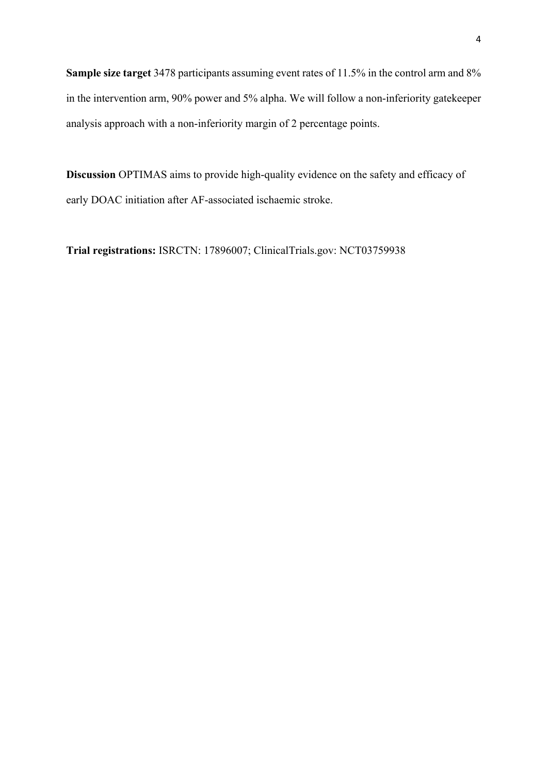**Sample size target** 3478 participants assuming event rates of 11.5% in the control arm and 8% in the intervention arm, 90% power and 5% alpha. We will follow a non-inferiority gatekeeper analysis approach with a non-inferiority margin of 2 percentage points.

**Discussion** OPTIMAS aims to provide high-quality evidence on the safety and efficacy of early DOAC initiation after AF-associated ischaemic stroke.

**Trial registrations:** ISRCTN: 17896007; ClinicalTrials.gov: NCT03759938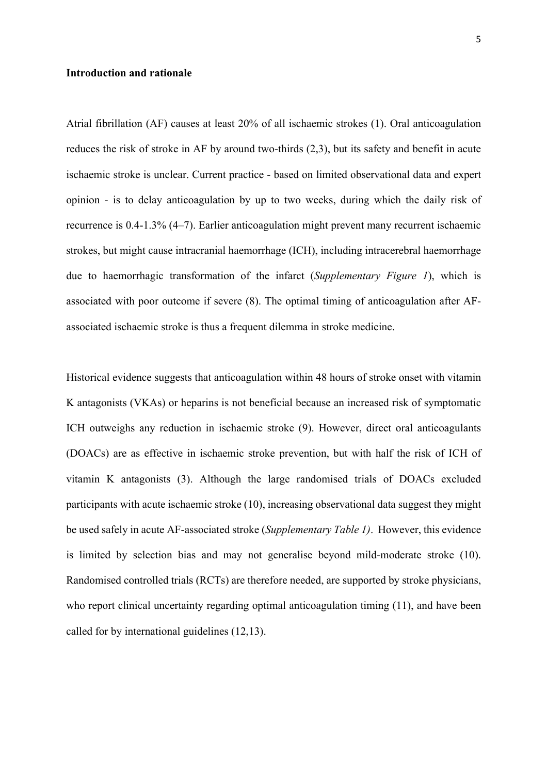## **Introduction and rationale**

Atrial fibrillation (AF) causes at least 20% of all ischaemic strokes (1). Oral anticoagulation reduces the risk of stroke in AF by around two-thirds (2,3), but its safety and benefit in acute ischaemic stroke is unclear. Current practice - based on limited observational data and expert opinion - is to delay anticoagulation by up to two weeks, during which the daily risk of recurrence is 0.4-1.3% (4–7). Earlier anticoagulation might prevent many recurrent ischaemic strokes, but might cause intracranial haemorrhage (ICH), including intracerebral haemorrhage due to haemorrhagic transformation of the infarct (*Supplementary Figure 1*), which is associated with poor outcome if severe (8). The optimal timing of anticoagulation after AFassociated ischaemic stroke is thus a frequent dilemma in stroke medicine.

Historical evidence suggests that anticoagulation within 48 hours of stroke onset with vitamin K antagonists (VKAs) or heparins is not beneficial because an increased risk of symptomatic ICH outweighs any reduction in ischaemic stroke (9). However, direct oral anticoagulants (DOACs) are as effective in ischaemic stroke prevention, but with half the risk of ICH of vitamin K antagonists (3). Although the large randomised trials of DOACs excluded participants with acute ischaemic stroke (10), increasing observational data suggest they might be used safely in acute AF-associated stroke (*Supplementary Table 1)*. However, this evidence is limited by selection bias and may not generalise beyond mild-moderate stroke (10). Randomised controlled trials (RCTs) are therefore needed, are supported by stroke physicians, who report clinical uncertainty regarding optimal anticoagulation timing (11), and have been called for by international guidelines (12,13).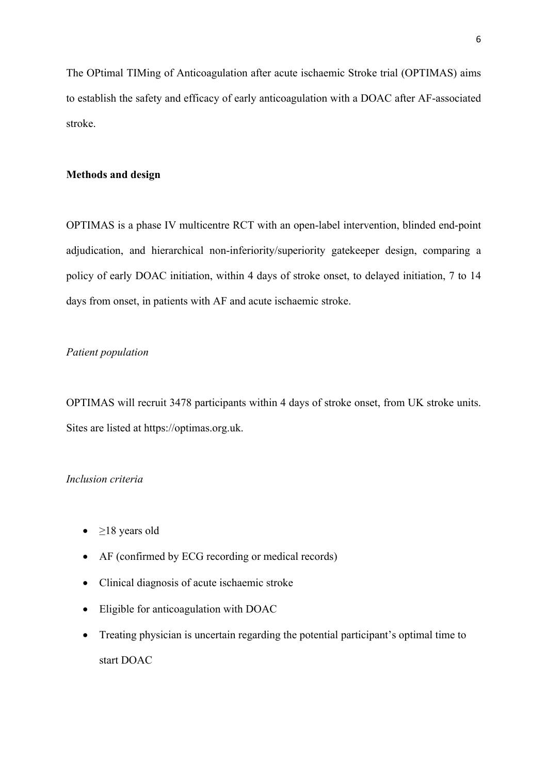The OPtimal TIMing of Anticoagulation after acute ischaemic Stroke trial (OPTIMAS) aims to establish the safety and efficacy of early anticoagulation with a DOAC after AF-associated stroke.

## **Methods and design**

OPTIMAS is a phase IV multicentre RCT with an open-label intervention, blinded end-point adjudication, and hierarchical non-inferiority/superiority gatekeeper design, comparing a policy of early DOAC initiation, within 4 days of stroke onset, to delayed initiation, 7 to 14 days from onset, in patients with AF and acute ischaemic stroke.

## *Patient population*

OPTIMAS will recruit 3478 participants within 4 days of stroke onset, from UK stroke units. Sites are listed at https://optimas.org.uk.

## *Inclusion criteria*

- $\geq$ 18 years old
- AF (confirmed by ECG recording or medical records)
- Clinical diagnosis of acute ischaemic stroke
- Eligible for anticoagulation with DOAC
- Treating physician is uncertain regarding the potential participant's optimal time to start DOAC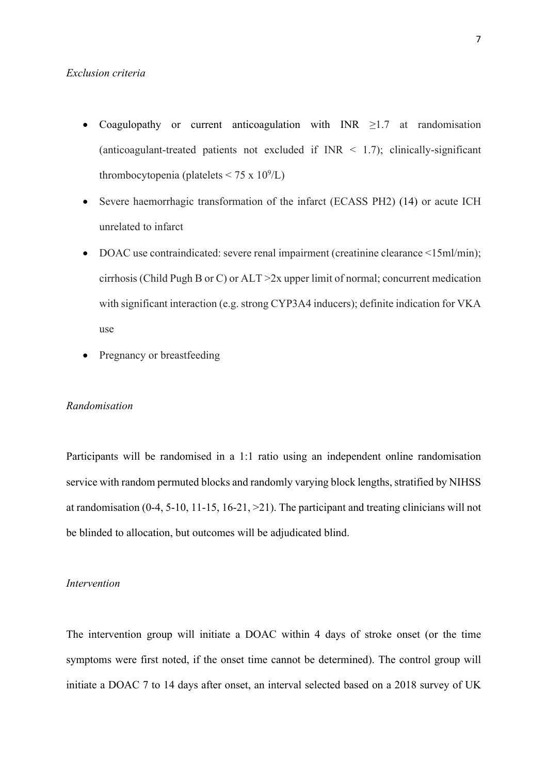## *Exclusion criteria*

- Coagulopathy or current anticoagulation with  $\text{INR} \geq 1.7$  at randomisation (anticoagulant-treated patients not excluded if  $\text{INR} < 1.7$ ); clinically-significant thrombocytopenia (platelets  $\leq 75 \times 10^9$ /L)
- Severe haemorrhagic transformation of the infarct (ECASS PH2) (14) or acute ICH unrelated to infarct
- DOAC use contraindicated: severe renal impairment (creatinine clearance <15ml/min); cirrhosis (Child Pugh B or C) or ALT >2x upper limit of normal; concurrent medication with significant interaction (e.g. strong CYP3A4 inducers); definite indication for VKA use
- Pregnancy or breastfeeding

#### *Randomisation*

Participants will be randomised in a 1:1 ratio using an independent online randomisation service with random permuted blocks and randomly varying block lengths, stratified by NIHSS at randomisation (0-4, 5-10, 11-15, 16-21, >21). The participant and treating clinicians will not be blinded to allocation, but outcomes will be adjudicated blind.

## *Intervention*

The intervention group will initiate a DOAC within 4 days of stroke onset (or the time symptoms were first noted, if the onset time cannot be determined). The control group will initiate a DOAC 7 to 14 days after onset, an interval selected based on a 2018 survey of UK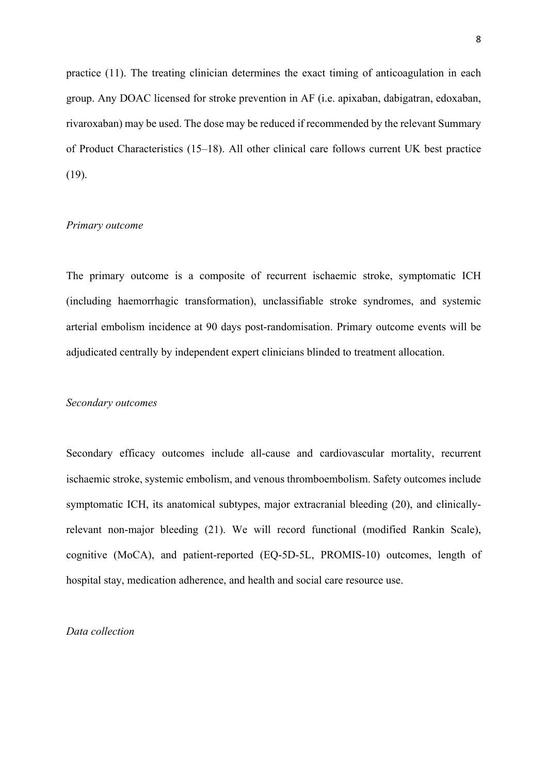practice (11). The treating clinician determines the exact timing of anticoagulation in each group. Any DOAC licensed for stroke prevention in AF (i.e. apixaban, dabigatran, edoxaban, rivaroxaban) may be used. The dose may be reduced if recommended by the relevant Summary of Product Characteristics (15–18). All other clinical care follows current UK best practice (19).

## *Primary outcome*

The primary outcome is a composite of recurrent ischaemic stroke, symptomatic ICH (including haemorrhagic transformation), unclassifiable stroke syndromes, and systemic arterial embolism incidence at 90 days post-randomisation. Primary outcome events will be adjudicated centrally by independent expert clinicians blinded to treatment allocation.

#### *Secondary outcomes*

Secondary efficacy outcomes include all-cause and cardiovascular mortality, recurrent ischaemic stroke, systemic embolism, and venous thromboembolism. Safety outcomes include symptomatic ICH, its anatomical subtypes, major extracranial bleeding (20), and clinicallyrelevant non-major bleeding (21). We will record functional (modified Rankin Scale), cognitive (MoCA), and patient-reported (EQ-5D-5L, PROMIS-10) outcomes, length of hospital stay, medication adherence, and health and social care resource use.

## *Data collection*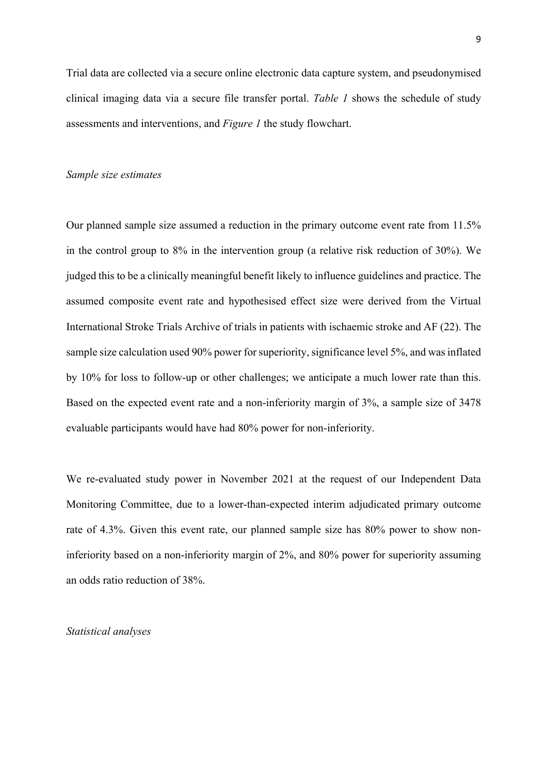Trial data are collected via a secure online electronic data capture system, and pseudonymised clinical imaging data via a secure file transfer portal. *Table 1* shows the schedule of study assessments and interventions, and *Figure 1* the study flowchart.

#### *Sample size estimates*

Our planned sample size assumed a reduction in the primary outcome event rate from 11.5% in the control group to 8% in the intervention group (a relative risk reduction of 30%). We judged this to be a clinically meaningful benefit likely to influence guidelines and practice. The assumed composite event rate and hypothesised effect size were derived from the Virtual International Stroke Trials Archive of trials in patients with ischaemic stroke and AF (22). The sample size calculation used 90% power for superiority, significance level 5%, and was inflated by 10% for loss to follow-up or other challenges; we anticipate a much lower rate than this. Based on the expected event rate and a non-inferiority margin of 3%, a sample size of 3478 evaluable participants would have had 80% power for non-inferiority.

We re-evaluated study power in November 2021 at the request of our Independent Data Monitoring Committee, due to a lower-than-expected interim adjudicated primary outcome rate of 4.3%. Given this event rate, our planned sample size has 80% power to show noninferiority based on a non-inferiority margin of 2%, and 80% power for superiority assuming an odds ratio reduction of 38%.

## *Statistical analyses*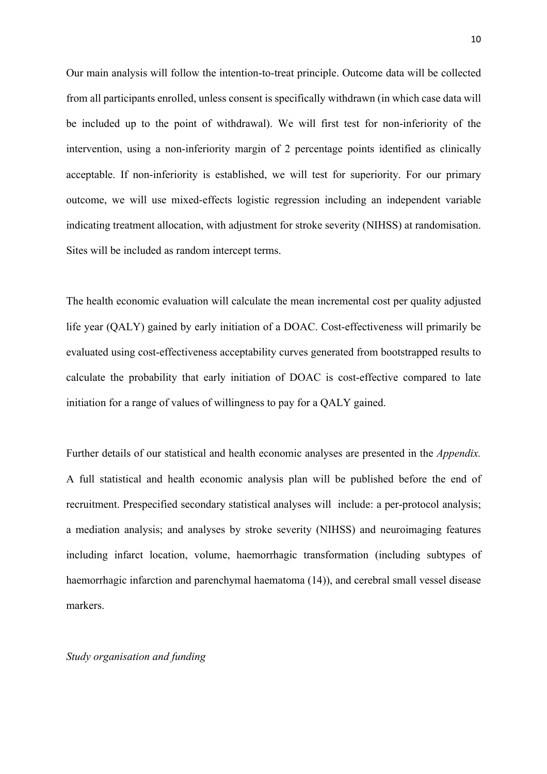Our main analysis will follow the intention-to-treat principle. Outcome data will be collected from all participants enrolled, unless consent is specifically withdrawn (in which case data will be included up to the point of withdrawal). We will first test for non-inferiority of the intervention, using a non-inferiority margin of 2 percentage points identified as clinically acceptable. If non-inferiority is established, we will test for superiority. For our primary outcome, we will use mixed-effects logistic regression including an independent variable indicating treatment allocation, with adjustment for stroke severity (NIHSS) at randomisation. Sites will be included as random intercept terms.

The health economic evaluation will calculate the mean incremental cost per quality adjusted life year (QALY) gained by early initiation of a DOAC. Cost-effectiveness will primarily be evaluated using cost-effectiveness acceptability curves generated from bootstrapped results to calculate the probability that early initiation of DOAC is cost-effective compared to late initiation for a range of values of willingness to pay for a QALY gained.

Further details of our statistical and health economic analyses are presented in the *Appendix.* A full statistical and health economic analysis plan will be published before the end of recruitment. Prespecified secondary statistical analyses will include: a per-protocol analysis; a mediation analysis; and analyses by stroke severity (NIHSS) and neuroimaging features including infarct location, volume, haemorrhagic transformation (including subtypes of haemorrhagic infarction and parenchymal haematoma (14)), and cerebral small vessel disease markers.

## *Study organisation and funding*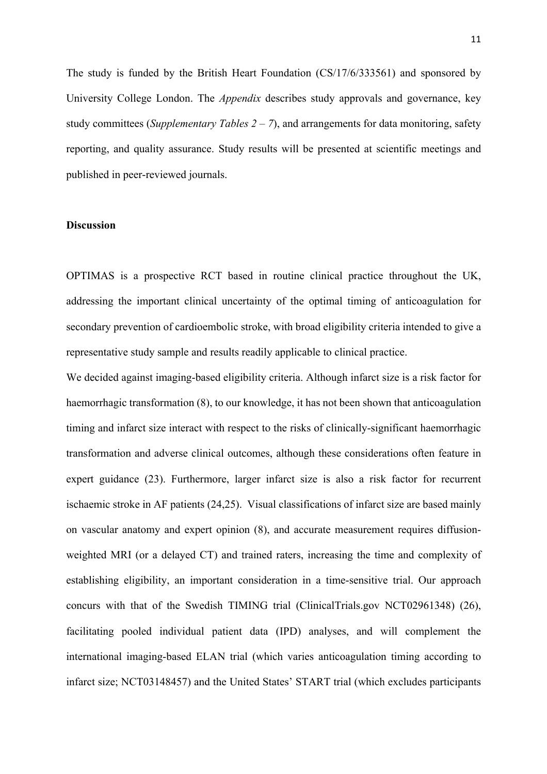The study is funded by the British Heart Foundation (CS/17/6/333561) and sponsored by University College London. The *Appendix* describes study approvals and governance, key study committees (*Supplementary Tables 2 – 7*), and arrangements for data monitoring, safety reporting, and quality assurance. Study results will be presented at scientific meetings and published in peer-reviewed journals.

## **Discussion**

OPTIMAS is a prospective RCT based in routine clinical practice throughout the UK, addressing the important clinical uncertainty of the optimal timing of anticoagulation for secondary prevention of cardioembolic stroke, with broad eligibility criteria intended to give a representative study sample and results readily applicable to clinical practice.

We decided against imaging-based eligibility criteria. Although infarct size is a risk factor for haemorrhagic transformation (8), to our knowledge, it has not been shown that anticoagulation timing and infarct size interact with respect to the risks of clinically-significant haemorrhagic transformation and adverse clinical outcomes, although these considerations often feature in expert guidance (23). Furthermore, larger infarct size is also a risk factor for recurrent ischaemic stroke in AF patients (24,25). Visual classifications of infarct size are based mainly on vascular anatomy and expert opinion (8), and accurate measurement requires diffusionweighted MRI (or a delayed CT) and trained raters, increasing the time and complexity of establishing eligibility, an important consideration in a time-sensitive trial. Our approach concurs with that of the Swedish TIMING trial (ClinicalTrials.gov NCT02961348) (26), facilitating pooled individual patient data (IPD) analyses, and will complement the international imaging-based ELAN trial (which varies anticoagulation timing according to infarct size; NCT03148457) and the United States' START trial (which excludes participants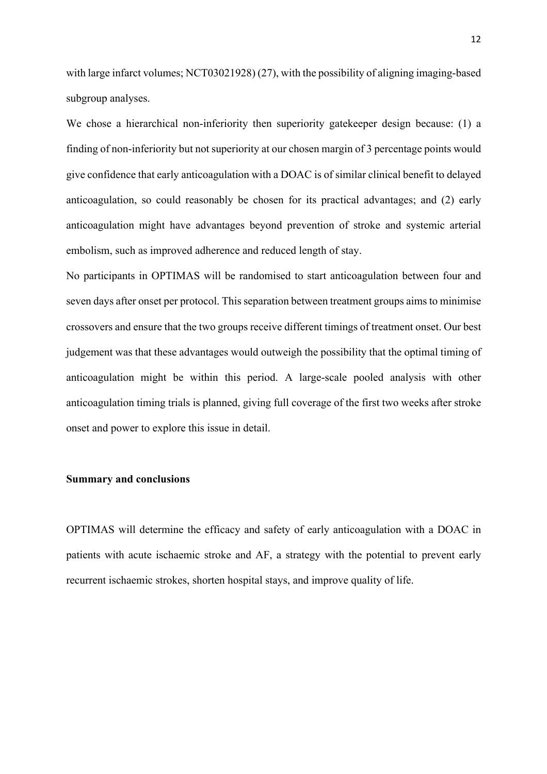with large infarct volumes; NCT03021928) (27), with the possibility of aligning imaging-based subgroup analyses.

We chose a hierarchical non-inferiority then superiority gatekeeper design because: (1) a finding of non-inferiority but not superiority at our chosen margin of 3 percentage points would give confidence that early anticoagulation with a DOAC is of similar clinical benefit to delayed anticoagulation, so could reasonably be chosen for its practical advantages; and (2) early anticoagulation might have advantages beyond prevention of stroke and systemic arterial embolism, such as improved adherence and reduced length of stay.

No participants in OPTIMAS will be randomised to start anticoagulation between four and seven days after onset per protocol. This separation between treatment groups aims to minimise crossovers and ensure that the two groups receive different timings of treatment onset. Our best judgement was that these advantages would outweigh the possibility that the optimal timing of anticoagulation might be within this period. A large-scale pooled analysis with other anticoagulation timing trials is planned, giving full coverage of the first two weeks after stroke onset and power to explore this issue in detail.

## **Summary and conclusions**

OPTIMAS will determine the efficacy and safety of early anticoagulation with a DOAC in patients with acute ischaemic stroke and AF, a strategy with the potential to prevent early recurrent ischaemic strokes, shorten hospital stays, and improve quality of life.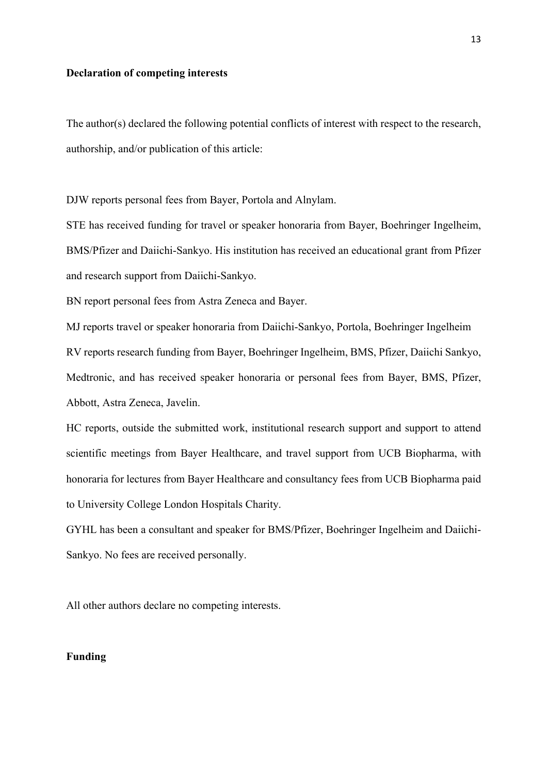## **Declaration of competing interests**

The author(s) declared the following potential conflicts of interest with respect to the research, authorship, and/or publication of this article:

DJW reports personal fees from Bayer, Portola and Alnylam.

STE has received funding for travel or speaker honoraria from Bayer, Boehringer Ingelheim, BMS/Pfizer and Daiichi-Sankyo. His institution has received an educational grant from Pfizer and research support from Daiichi-Sankyo.

BN report personal fees from Astra Zeneca and Bayer.

MJ reports travel or speaker honoraria from Daiichi-Sankyo, Portola, Boehringer Ingelheim RV reports research funding from Bayer, Boehringer Ingelheim, BMS, Pfizer, Daiichi Sankyo, Medtronic, and has received speaker honoraria or personal fees from Bayer, BMS, Pfizer, Abbott, Astra Zeneca, Javelin.

HC reports, outside the submitted work, institutional research support and support to attend scientific meetings from Bayer Healthcare, and travel support from UCB Biopharma, with honoraria for lectures from Bayer Healthcare and consultancy fees from UCB Biopharma paid to University College London Hospitals Charity.

GYHL has been a consultant and speaker for BMS/Pfizer, Boehringer Ingelheim and Daiichi-Sankyo. No fees are received personally.

All other authors declare no competing interests.

# **Funding**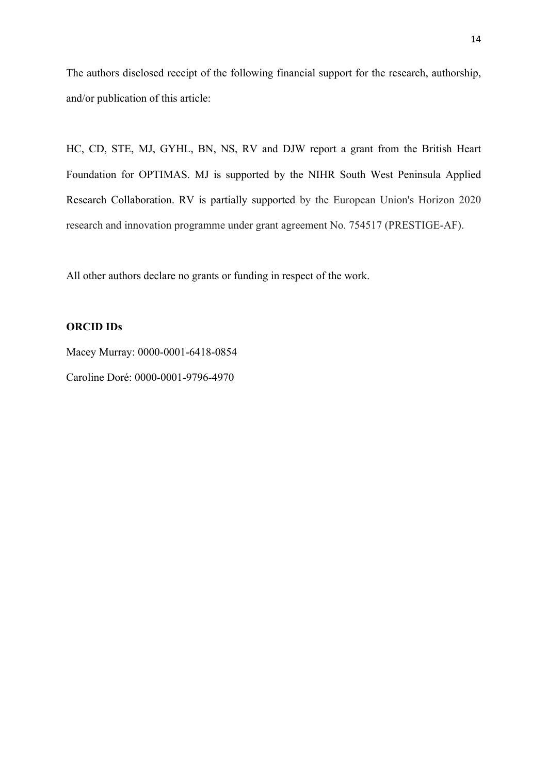The authors disclosed receipt of the following financial support for the research, authorship, and/or publication of this article:

HC, CD, STE, MJ, GYHL, BN, NS, RV and DJW report a grant from the British Heart Foundation for OPTIMAS. MJ is supported by the NIHR South West Peninsula Applied Research Collaboration. RV is partially supported by the European Union's Horizon 2020 research and innovation programme under grant agreement No. 754517 (PRESTIGE-AF).

All other authors declare no grants or funding in respect of the work.

## **ORCID IDs**

Macey Murray: 0000-0001-6418-0854 Caroline Doré: 0000-0001-9796-4970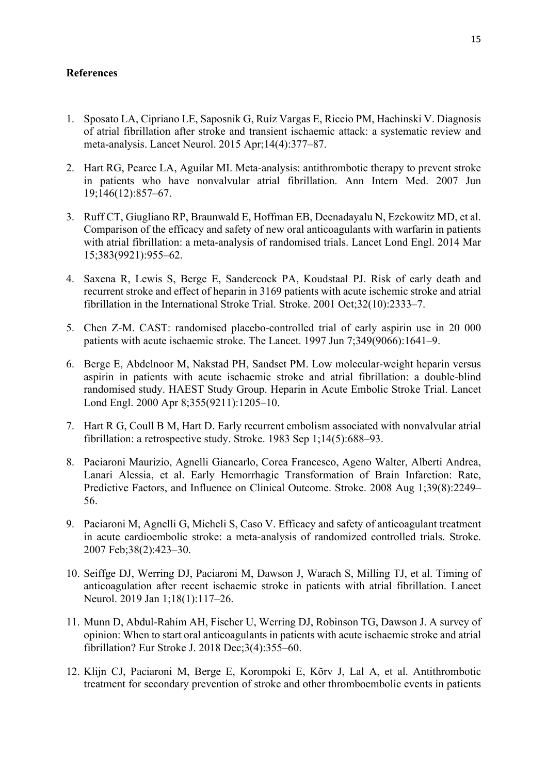# **References**

- 1. Sposato LA, Cipriano LE, Saposnik G, Ruíz Vargas E, Riccio PM, Hachinski V. Diagnosis of atrial fibrillation after stroke and transient ischaemic attack: a systematic review and meta-analysis. Lancet Neurol. 2015 Apr;14(4):377–87.
- 2. Hart RG, Pearce LA, Aguilar MI. Meta-analysis: antithrombotic therapy to prevent stroke in patients who have nonvalvular atrial fibrillation. Ann Intern Med. 2007 Jun 19;146(12):857–67.
- 3. Ruff CT, Giugliano RP, Braunwald E, Hoffman EB, Deenadayalu N, Ezekowitz MD, et al. Comparison of the efficacy and safety of new oral anticoagulants with warfarin in patients with atrial fibrillation: a meta-analysis of randomised trials. Lancet Lond Engl. 2014 Mar 15;383(9921):955–62.
- 4. Saxena R, Lewis S, Berge E, Sandercock PA, Koudstaal PJ. Risk of early death and recurrent stroke and effect of heparin in 3169 patients with acute ischemic stroke and atrial fibrillation in the International Stroke Trial. Stroke. 2001 Oct;32(10):2333–7.
- 5. Chen Z-M. CAST: randomised placebo-controlled trial of early aspirin use in 20 000 patients with acute ischaemic stroke. The Lancet. 1997 Jun 7;349(9066):1641–9.
- 6. Berge E, Abdelnoor M, Nakstad PH, Sandset PM. Low molecular-weight heparin versus aspirin in patients with acute ischaemic stroke and atrial fibrillation: a double-blind randomised study. HAEST Study Group. Heparin in Acute Embolic Stroke Trial. Lancet Lond Engl. 2000 Apr 8;355(9211):1205–10.
- 7. Hart R G, Coull B M, Hart D. Early recurrent embolism associated with nonvalvular atrial fibrillation: a retrospective study. Stroke. 1983 Sep 1;14(5):688–93.
- 8. Paciaroni Maurizio, Agnelli Giancarlo, Corea Francesco, Ageno Walter, Alberti Andrea, Lanari Alessia, et al. Early Hemorrhagic Transformation of Brain Infarction: Rate, Predictive Factors, and Influence on Clinical Outcome. Stroke. 2008 Aug 1;39(8):2249– 56.
- 9. Paciaroni M, Agnelli G, Micheli S, Caso V. Efficacy and safety of anticoagulant treatment in acute cardioembolic stroke: a meta-analysis of randomized controlled trials. Stroke. 2007 Feb;38(2):423–30.
- 10. Seiffge DJ, Werring DJ, Paciaroni M, Dawson J, Warach S, Milling TJ, et al. Timing of anticoagulation after recent ischaemic stroke in patients with atrial fibrillation. Lancet Neurol. 2019 Jan 1;18(1):117–26.
- 11. Munn D, Abdul-Rahim AH, Fischer U, Werring DJ, Robinson TG, Dawson J. A survey of opinion: When to start oral anticoagulants in patients with acute ischaemic stroke and atrial fibrillation? Eur Stroke J. 2018 Dec;3(4):355–60.
- 12. Klijn CJ, Paciaroni M, Berge E, Korompoki E, Kõrv J, Lal A, et al. Antithrombotic treatment for secondary prevention of stroke and other thromboembolic events in patients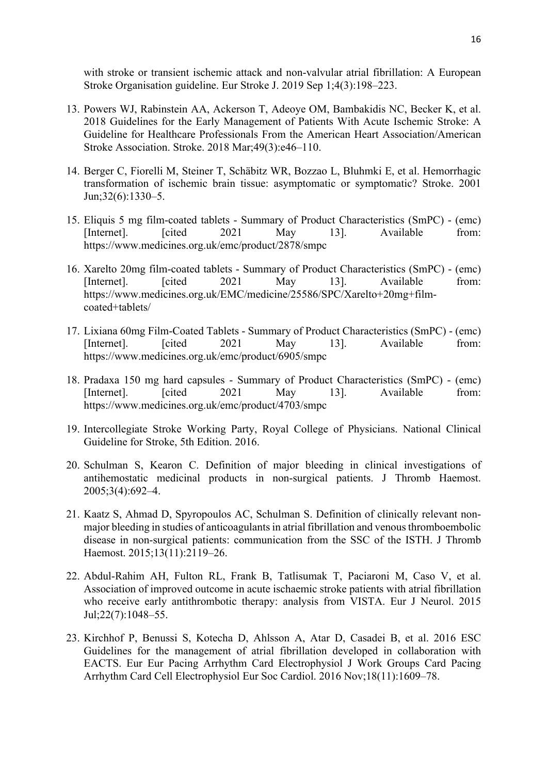with stroke or transient ischemic attack and non-valvular atrial fibrillation: A European Stroke Organisation guideline. Eur Stroke J. 2019 Sep 1;4(3):198–223.

- 13. Powers WJ, Rabinstein AA, Ackerson T, Adeoye OM, Bambakidis NC, Becker K, et al. 2018 Guidelines for the Early Management of Patients With Acute Ischemic Stroke: A Guideline for Healthcare Professionals From the American Heart Association/American Stroke Association. Stroke. 2018 Mar;49(3):e46–110.
- 14. Berger C, Fiorelli M, Steiner T, Schäbitz WR, Bozzao L, Bluhmki E, et al. Hemorrhagic transformation of ischemic brain tissue: asymptomatic or symptomatic? Stroke. 2001 Jun;32(6):1330–5.
- 15. Eliquis 5 mg film-coated tablets Summary of Product Characteristics (SmPC) (emc) [Internet]. [cited 2021 May 13]. Available from: https://www.medicines.org.uk/emc/product/2878/smpc
- 16. Xarelto 20mg film-coated tablets Summary of Product Characteristics (SmPC) (emc) [Internet]. [cited 2021 May 13]. Available from: https://www.medicines.org.uk/EMC/medicine/25586/SPC/Xarelto+20mg+filmcoated+tablets/
- 17. Lixiana 60mg Film-Coated Tablets Summary of Product Characteristics (SmPC) (emc) [Internet]. [cited 2021 May 13]. Available from: https://www.medicines.org.uk/emc/product/6905/smpc
- 18. Pradaxa 150 mg hard capsules Summary of Product Characteristics (SmPC) (emc) [Internet]. [cited 2021 May 13]. Available from: https://www.medicines.org.uk/emc/product/4703/smpc
- 19. Intercollegiate Stroke Working Party, Royal College of Physicians. National Clinical Guideline for Stroke, 5th Edition. 2016.
- 20. Schulman S, Kearon C. Definition of major bleeding in clinical investigations of antihemostatic medicinal products in non-surgical patients. J Thromb Haemost. 2005;3(4):692–4.
- 21. Kaatz S, Ahmad D, Spyropoulos AC, Schulman S. Definition of clinically relevant nonmajor bleeding in studies of anticoagulants in atrial fibrillation and venous thromboembolic disease in non-surgical patients: communication from the SSC of the ISTH. J Thromb Haemost. 2015;13(11):2119–26.
- 22. Abdul-Rahim AH, Fulton RL, Frank B, Tatlisumak T, Paciaroni M, Caso V, et al. Association of improved outcome in acute ischaemic stroke patients with atrial fibrillation who receive early antithrombotic therapy: analysis from VISTA. Eur J Neurol. 2015 Jul;22(7):1048–55.
- 23. Kirchhof P, Benussi S, Kotecha D, Ahlsson A, Atar D, Casadei B, et al. 2016 ESC Guidelines for the management of atrial fibrillation developed in collaboration with EACTS. Eur Eur Pacing Arrhythm Card Electrophysiol J Work Groups Card Pacing Arrhythm Card Cell Electrophysiol Eur Soc Cardiol. 2016 Nov;18(11):1609–78.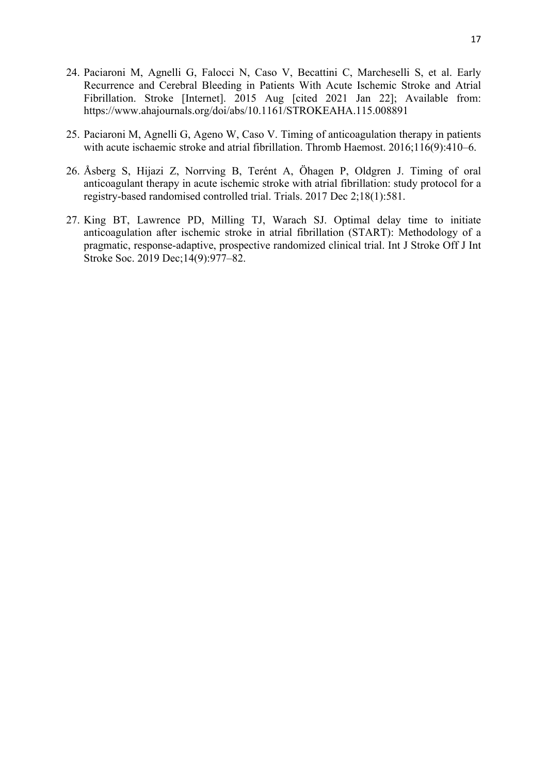- 24. Paciaroni M, Agnelli G, Falocci N, Caso V, Becattini C, Marcheselli S, et al. Early Recurrence and Cerebral Bleeding in Patients With Acute Ischemic Stroke and Atrial Fibrillation. Stroke [Internet]. 2015 Aug [cited 2021 Jan 22]; Available from: https://www.ahajournals.org/doi/abs/10.1161/STROKEAHA.115.008891
- 25. Paciaroni M, Agnelli G, Ageno W, Caso V. Timing of anticoagulation therapy in patients with acute ischaemic stroke and atrial fibrillation. Thromb Haemost. 2016;116(9):410–6.
- 26. Åsberg S, Hijazi Z, Norrving B, Terént A, Öhagen P, Oldgren J. Timing of oral anticoagulant therapy in acute ischemic stroke with atrial fibrillation: study protocol for a registry-based randomised controlled trial. Trials. 2017 Dec 2;18(1):581.
- 27. King BT, Lawrence PD, Milling TJ, Warach SJ. Optimal delay time to initiate anticoagulation after ischemic stroke in atrial fibrillation (START): Methodology of a pragmatic, response-adaptive, prospective randomized clinical trial. Int J Stroke Off J Int Stroke Soc. 2019 Dec;14(9):977–82.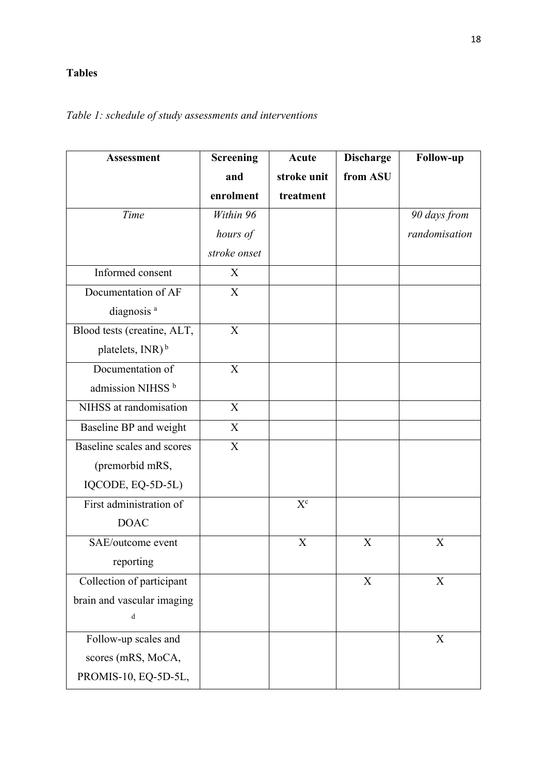# **Tables**

# **Assessment Screening and enrolment Acute stroke unit treatment Discharge from ASU Follow-up** *Time Within 96 hours of stroke onset 90 days from randomisation* Informed consent X Documentation of AF diagnosis<sup>a</sup> X Blood tests (creatine, ALT, platelets,  $INR$ )<sup>b</sup> X Documentation of admission NIHSS<sup>b</sup> X NIHSS at randomisation X Baseline BP and weight X Baseline scales and scores (premorbid mRS, IQCODE, EQ-5D-5L) X First administration of DOAC  $X^c$ SAE/outcome event reporting  $X$   $X$   $X$ Collection of participant brain and vascular imaging d  $X$   $X$ Follow-up scales and scores (mRS, MoCA, PROMIS-10, EQ-5D-5L, X

# *Table 1: schedule of study assessments and interventions*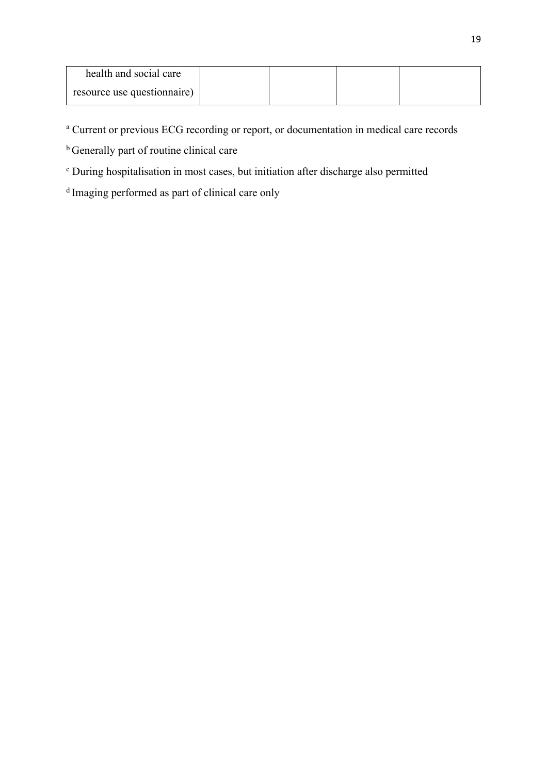| health and social care      |  |  |
|-----------------------------|--|--|
| resource use questionnaire) |  |  |

<sup>a</sup> Current or previous ECG recording or report, or documentation in medical care records

**b** Generally part of routine clinical care

<sup>c</sup> During hospitalisation in most cases, but initiation after discharge also permitted

<sup>d</sup> Imaging performed as part of clinical care only